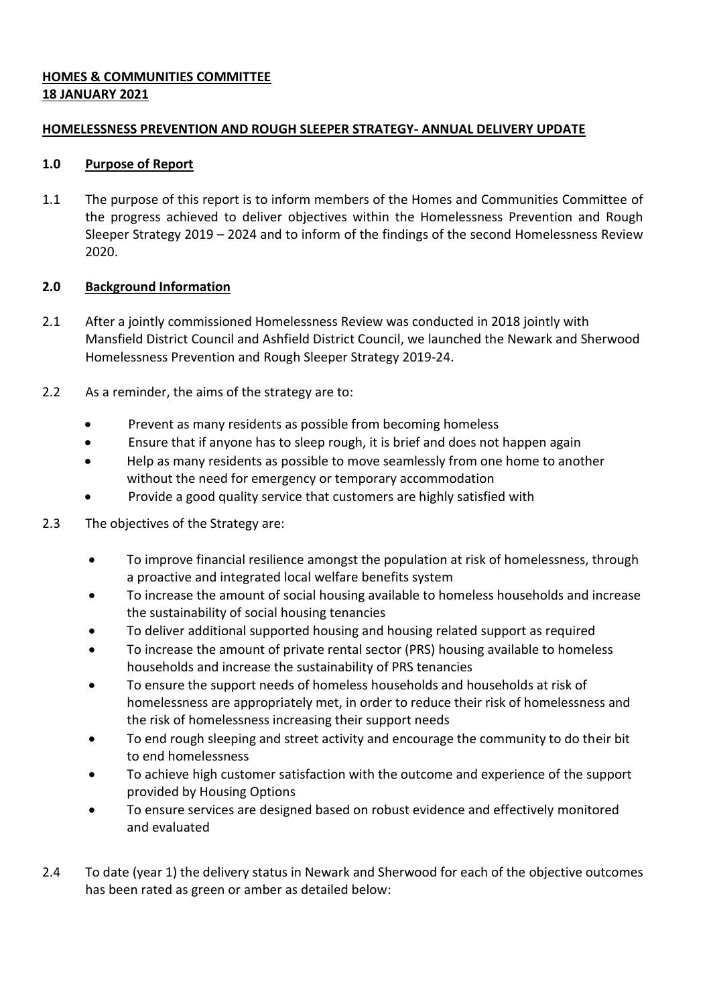# **HOMES & COMMUNITIES COMMITTEE 18 JANUARY 2021**

# **HOMELESSNESS PREVENTION AND ROUGH SLEEPER STRATEGY- ANNUAL DELIVERY UPDATE**

# **1.0 Purpose of Report**

1.1 The purpose of this report is to inform members of the Homes and Communities Committee of the progress achieved to deliver objectives within the Homelessness Prevention and Rough Sleeper Strategy 2019 – 2024 and to inform of the findings of the second Homelessness Review 2020.

# **2.0 Background Information**

- 2.1 After a jointly commissioned Homelessness Review was conducted in 2018 jointly with Mansfield District Council and Ashfield District Council, we launched the Newark and Sherwood Homelessness Prevention and Rough Sleeper Strategy 2019-24.
- 2.2 As a reminder, the aims of the strategy are to:
	- Prevent as many residents as possible from becoming homeless
	- Ensure that if anyone has to sleep rough, it is brief and does not happen again
	- Help as many residents as possible to move seamlessly from one home to another without the need for emergency or temporary accommodation
	- Provide a good quality service that customers are highly satisfied with
- 2.3 The objectives of the Strategy are:
	- To improve financial resilience amongst the population at risk of homelessness, through a proactive and integrated local welfare benefits system
	- To increase the amount of social housing available to homeless households and increase the sustainability of social housing tenancies
	- To deliver additional supported housing and housing related support as required
	- To increase the amount of private rental sector (PRS) housing available to homeless households and increase the sustainability of PRS tenancies
	- To ensure the support needs of homeless households and households at risk of homelessness are appropriately met, in order to reduce their risk of homelessness and the risk of homelessness increasing their support needs
	- To end rough sleeping and street activity and encourage the community to do their bit to end homelessness
	- To achieve high customer satisfaction with the outcome and experience of the support provided by Housing Options
	- To ensure services are designed based on robust evidence and effectively monitored and evaluated
- 2.4 To date (year 1) the delivery status in Newark and Sherwood for each of the objective outcomes has been rated as green or amber as detailed below: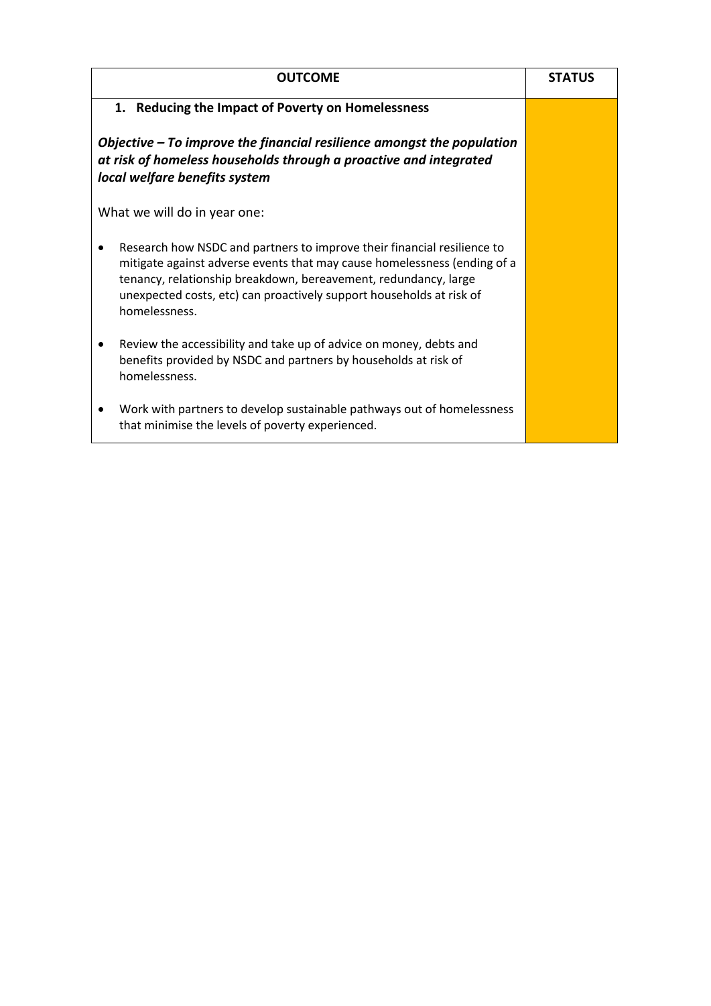| <b>OUTCOME</b>                                                                                                                                                                                                                                                                                                  | <b>STATUS</b> |
|-----------------------------------------------------------------------------------------------------------------------------------------------------------------------------------------------------------------------------------------------------------------------------------------------------------------|---------------|
| 1. Reducing the Impact of Poverty on Homelessness                                                                                                                                                                                                                                                               |               |
| Objective $-$ To improve the financial resilience amongst the population<br>at risk of homeless households through a proactive and integrated<br>local welfare benefits system                                                                                                                                  |               |
| What we will do in year one:                                                                                                                                                                                                                                                                                    |               |
| Research how NSDC and partners to improve their financial resilience to<br>mitigate against adverse events that may cause homelessness (ending of a<br>tenancy, relationship breakdown, bereavement, redundancy, large<br>unexpected costs, etc) can proactively support households at risk of<br>homelessness. |               |
| Review the accessibility and take up of advice on money, debts and<br>benefits provided by NSDC and partners by households at risk of<br>homelessness.                                                                                                                                                          |               |
| Work with partners to develop sustainable pathways out of homelessness<br>that minimise the levels of poverty experienced.                                                                                                                                                                                      |               |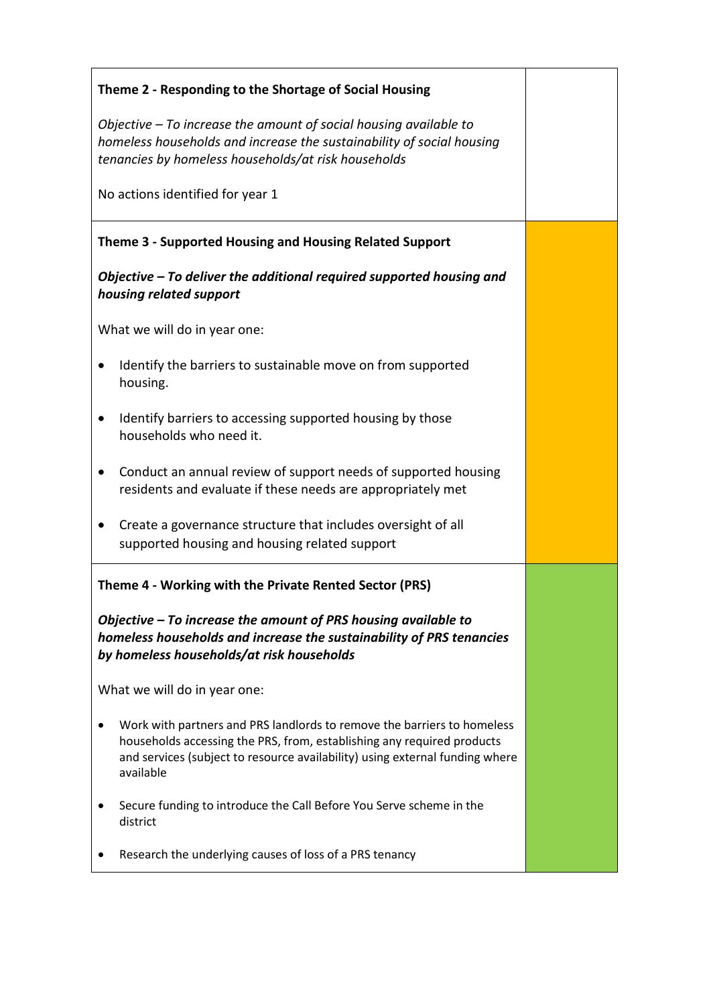| Theme 2 - Responding to the Shortage of Social Housing                                                                                                                                                                                         |  |
|------------------------------------------------------------------------------------------------------------------------------------------------------------------------------------------------------------------------------------------------|--|
| Objective $-$ To increase the amount of social housing available to<br>homeless households and increase the sustainability of social housing<br>tenancies by homeless households/at risk households                                            |  |
| No actions identified for year 1                                                                                                                                                                                                               |  |
| Theme 3 - Supported Housing and Housing Related Support                                                                                                                                                                                        |  |
| Objective - To deliver the additional required supported housing and<br>housing related support                                                                                                                                                |  |
| What we will do in year one:                                                                                                                                                                                                                   |  |
| Identify the barriers to sustainable move on from supported<br>housing.                                                                                                                                                                        |  |
| Identify barriers to accessing supported housing by those<br>$\bullet$<br>households who need it.                                                                                                                                              |  |
| Conduct an annual review of support needs of supported housing<br>residents and evaluate if these needs are appropriately met                                                                                                                  |  |
| Create a governance structure that includes oversight of all<br>supported housing and housing related support                                                                                                                                  |  |
| Theme 4 - Working with the Private Rented Sector (PRS)                                                                                                                                                                                         |  |
| Objective $-$ To increase the amount of PRS housing available to<br>homeless households and increase the sustainability of PRS tenancies<br>by homeless households/at risk households                                                          |  |
| What we will do in year one:                                                                                                                                                                                                                   |  |
| Work with partners and PRS landlords to remove the barriers to homeless<br>households accessing the PRS, from, establishing any required products<br>and services (subject to resource availability) using external funding where<br>available |  |
| Secure funding to introduce the Call Before You Serve scheme in the<br>district                                                                                                                                                                |  |
| Research the underlying causes of loss of a PRS tenancy                                                                                                                                                                                        |  |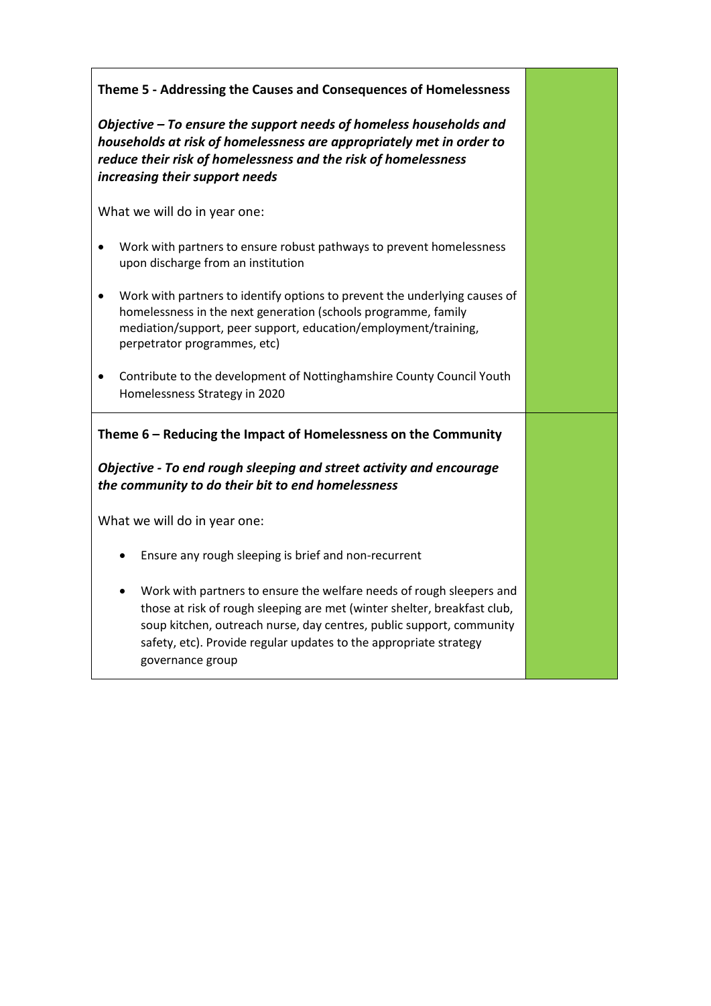| Theme 5 - Addressing the Causes and Consequences of Homelessness                                                                                                                                                                                                                                                       |  |
|------------------------------------------------------------------------------------------------------------------------------------------------------------------------------------------------------------------------------------------------------------------------------------------------------------------------|--|
| Objective – To ensure the support needs of homeless households and<br>households at risk of homelessness are appropriately met in order to<br>reduce their risk of homelessness and the risk of homelessness<br>increasing their support needs                                                                         |  |
| What we will do in year one:                                                                                                                                                                                                                                                                                           |  |
| Work with partners to ensure robust pathways to prevent homelessness<br>$\bullet$<br>upon discharge from an institution                                                                                                                                                                                                |  |
| Work with partners to identify options to prevent the underlying causes of<br>٠<br>homelessness in the next generation (schools programme, family<br>mediation/support, peer support, education/employment/training,<br>perpetrator programmes, etc)                                                                   |  |
| Contribute to the development of Nottinghamshire County Council Youth<br>Homelessness Strategy in 2020                                                                                                                                                                                                                 |  |
| Theme 6 - Reducing the Impact of Homelessness on the Community                                                                                                                                                                                                                                                         |  |
| Objective - To end rough sleeping and street activity and encourage<br>the community to do their bit to end homelessness                                                                                                                                                                                               |  |
| What we will do in year one:                                                                                                                                                                                                                                                                                           |  |
| Ensure any rough sleeping is brief and non-recurrent<br>$\bullet$                                                                                                                                                                                                                                                      |  |
| Work with partners to ensure the welfare needs of rough sleepers and<br>٠<br>those at risk of rough sleeping are met (winter shelter, breakfast club,<br>soup kitchen, outreach nurse, day centres, public support, community<br>safety, etc). Provide regular updates to the appropriate strategy<br>governance group |  |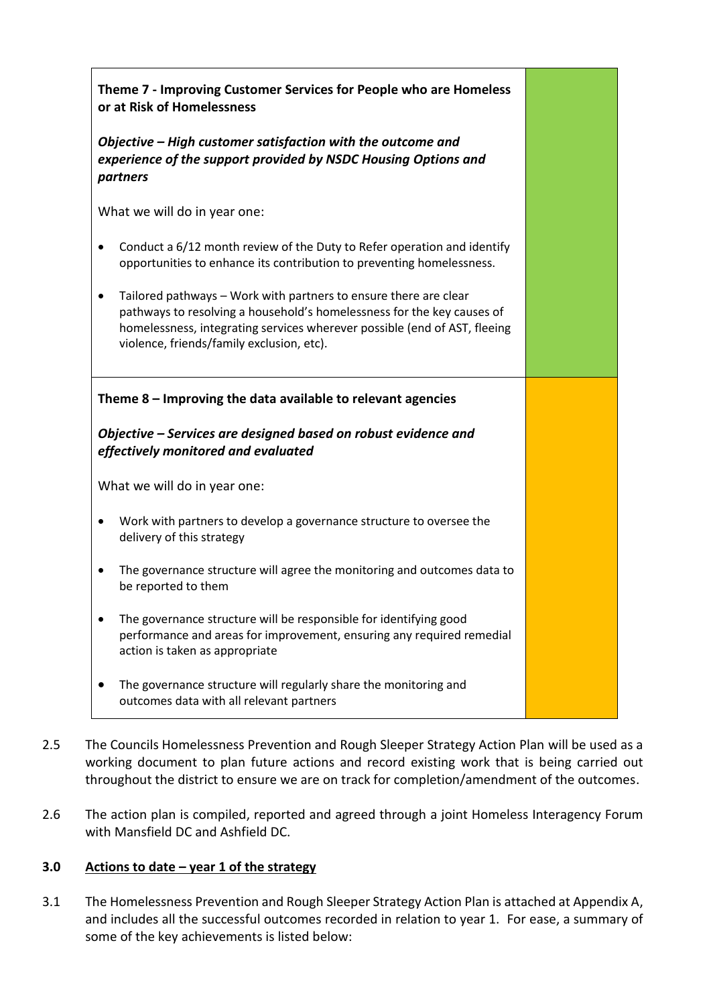| Theme 7 - Improving Customer Services for People who are Homeless<br>or at Risk of Homelessness                                                                                                                                                                                   |  |
|-----------------------------------------------------------------------------------------------------------------------------------------------------------------------------------------------------------------------------------------------------------------------------------|--|
| Objective – High customer satisfaction with the outcome and<br>experience of the support provided by NSDC Housing Options and<br>partners                                                                                                                                         |  |
| What we will do in year one:                                                                                                                                                                                                                                                      |  |
| Conduct a 6/12 month review of the Duty to Refer operation and identify<br>٠<br>opportunities to enhance its contribution to preventing homelessness.                                                                                                                             |  |
| Tailored pathways - Work with partners to ensure there are clear<br>$\bullet$<br>pathways to resolving a household's homelessness for the key causes of<br>homelessness, integrating services wherever possible (end of AST, fleeing<br>violence, friends/family exclusion, etc). |  |
| Theme $8$ – Improving the data available to relevant agencies                                                                                                                                                                                                                     |  |
| Objective – Services are designed based on robust evidence and<br>effectively monitored and evaluated                                                                                                                                                                             |  |
| What we will do in year one:                                                                                                                                                                                                                                                      |  |
| Work with partners to develop a governance structure to oversee the<br>$\bullet$<br>delivery of this strategy                                                                                                                                                                     |  |
| The governance structure will agree the monitoring and outcomes data to<br>be reported to them                                                                                                                                                                                    |  |
| The governance structure will be responsible for identifying good<br>performance and areas for improvement, ensuring any required remedial<br>action is taken as appropriate                                                                                                      |  |
| The governance structure will regularly share the monitoring and<br>outcomes data with all relevant partners                                                                                                                                                                      |  |

- 2.5 The Councils Homelessness Prevention and Rough Sleeper Strategy Action Plan will be used as a working document to plan future actions and record existing work that is being carried out throughout the district to ensure we are on track for completion/amendment of the outcomes.
- 2.6 The action plan is compiled, reported and agreed through a joint Homeless Interagency Forum with Mansfield DC and Ashfield DC.

## **3.0 Actions to date – year 1 of the strategy**

3.1 The Homelessness Prevention and Rough Sleeper Strategy Action Plan is attached at Appendix A, and includes all the successful outcomes recorded in relation to year 1. For ease, a summary of some of the key achievements is listed below: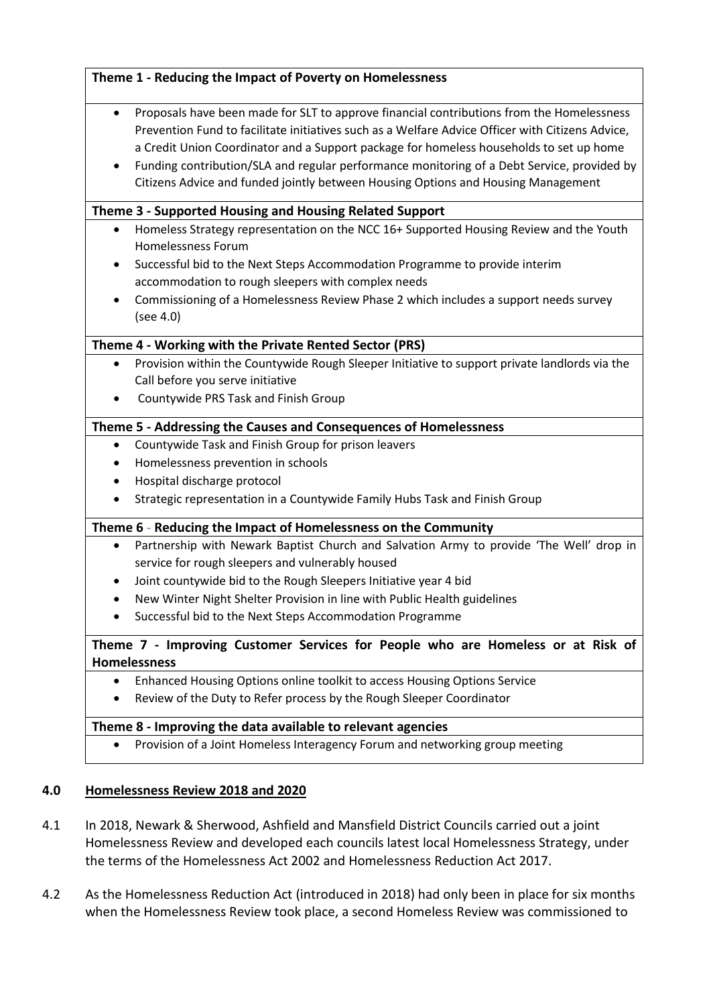| $\bullet$ | Proposals have been made for SLT to approve financial contributions from the Homelessness                           |
|-----------|---------------------------------------------------------------------------------------------------------------------|
|           | Prevention Fund to facilitate initiatives such as a Welfare Advice Officer with Citizens Advice,                    |
|           | a Credit Union Coordinator and a Support package for homeless households to set up home                             |
|           | Funding contribution/SLA and regular performance monitoring of a Debt Service, provided by                          |
|           | Citizens Advice and funded jointly between Housing Options and Housing Management                                   |
|           | Theme 3 - Supported Housing and Housing Related Support                                                             |
| ٠         | Homeless Strategy representation on the NCC 16+ Supported Housing Review and the Youth<br><b>Homelessness Forum</b> |
| ٠         | Successful bid to the Next Steps Accommodation Programme to provide interim                                         |
|           | accommodation to rough sleepers with complex needs                                                                  |
|           | Commissioning of a Homelessness Review Phase 2 which includes a support needs survey<br>(see 4.0)                   |
|           | Theme 4 - Working with the Private Rented Sector (PRS)                                                              |
| $\bullet$ | Provision within the Countywide Rough Sleeper Initiative to support private landlords via the                       |
|           | Call before you serve initiative                                                                                    |
|           | Countywide PRS Task and Finish Group                                                                                |
|           | Theme 5 - Addressing the Causes and Consequences of Homelessness                                                    |
| ٠         | Countywide Task and Finish Group for prison leavers                                                                 |
| ٠         | Homelessness prevention in schools                                                                                  |
| ٠         | Hospital discharge protocol                                                                                         |
|           | Strategic representation in a Countywide Family Hubs Task and Finish Group                                          |
|           | Theme 6 - Reducing the Impact of Homelessness on the Community                                                      |
| $\bullet$ | Partnership with Newark Baptist Church and Salvation Army to provide 'The Well' drop in                             |
|           | service for rough sleepers and vulnerably housed                                                                    |
|           | Joint countywide bid to the Rough Sleepers Initiative year 4 bid                                                    |
|           | New Winter Night Shelter Provision in line with Public Health guidelines                                            |
|           | Successful bid to the Next Steps Accommodation Programme                                                            |
|           | Theme 7 - Improving Customer Services for People who are Homeless or at Risk of<br><b>Homelessness</b>              |
| ٠         | Enhanced Housing Options online toolkit to access Housing Options Service                                           |
|           | Review of the Duty to Refer process by the Rough Sleeper Coordinator                                                |
|           | Theme 8 - Improving the data available to relevant agencies                                                         |
|           | Provision of a Joint Homeless Interagency Forum and networking group meeting                                        |

# **4.0 Homelessness Review 2018 and 2020**

- 4.1 In 2018, Newark & Sherwood, Ashfield and Mansfield District Councils carried out a joint Homelessness Review and developed each councils latest local Homelessness Strategy, under the terms of the Homelessness Act 2002 and Homelessness Reduction Act 2017.
- 4.2 As the Homelessness Reduction Act (introduced in 2018) had only been in place for six months when the Homelessness Review took place, a second Homeless Review was commissioned to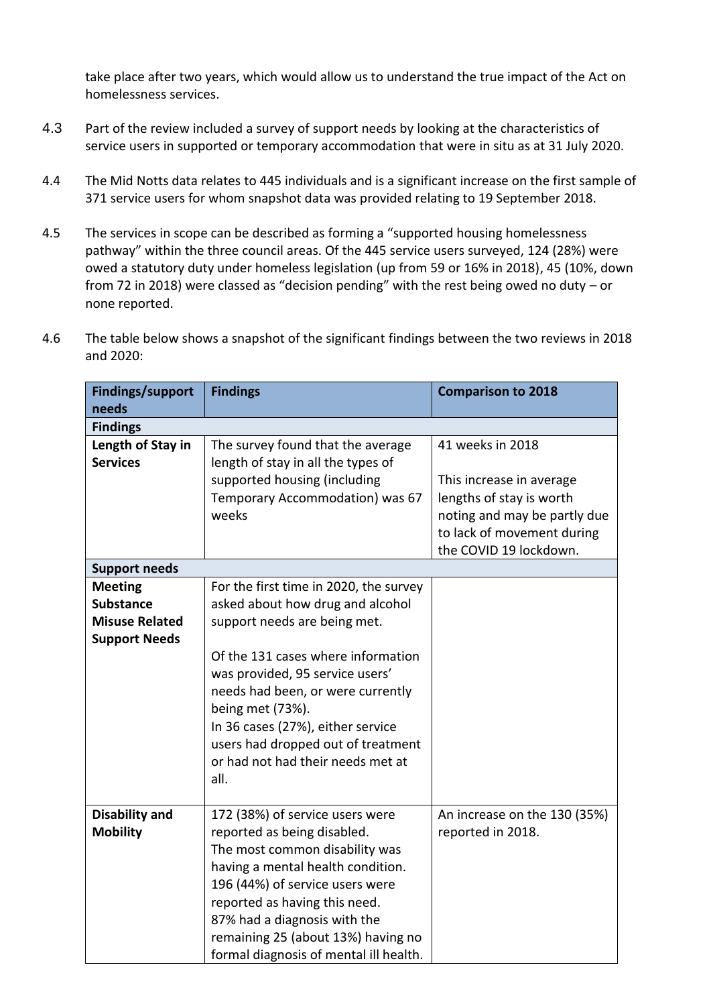take place after two years, which would allow us to understand the true impact of the Act on homelessness services.

- 4.3 Part of the review included a survey of support needs by looking at the characteristics of service users in supported or temporary accommodation that were in situ as at 31 July 2020.
- 4.4 The Mid Notts data relates to 445 individuals and is a significant increase on the first sample of 371 service users for whom snapshot data was provided relating to 19 September 2018.
- 4.5 The services in scope can be described as forming a "supported housing homelessness pathway" within the three council areas. Of the 445 service users surveyed, 124 (28%) were owed a statutory duty under homeless legislation (up from 59 or 16% in 2018), 45 (10%, down from 72 in 2018) were classed as "decision pending" with the rest being owed no duty – or none reported.

| <b>Findings/support</b> | <b>Findings</b>                        | <b>Comparison to 2018</b>    |
|-------------------------|----------------------------------------|------------------------------|
| needs                   |                                        |                              |
| <b>Findings</b>         |                                        |                              |
| Length of Stay in       | The survey found that the average      | 41 weeks in 2018             |
| <b>Services</b>         | length of stay in all the types of     |                              |
|                         | supported housing (including           | This increase in average     |
|                         | Temporary Accommodation) was 67        | lengths of stay is worth     |
|                         | weeks                                  | noting and may be partly due |
|                         |                                        | to lack of movement during   |
|                         |                                        | the COVID 19 lockdown.       |
| <b>Support needs</b>    |                                        |                              |
| <b>Meeting</b>          | For the first time in 2020, the survey |                              |
| <b>Substance</b>        | asked about how drug and alcohol       |                              |
| <b>Misuse Related</b>   | support needs are being met.           |                              |
| <b>Support Needs</b>    |                                        |                              |
|                         | Of the 131 cases where information     |                              |
|                         | was provided, 95 service users'        |                              |
|                         | needs had been, or were currently      |                              |
|                         | being met (73%).                       |                              |
|                         | In 36 cases (27%), either service      |                              |
|                         | users had dropped out of treatment     |                              |
|                         | or had not had their needs met at      |                              |
|                         | all.                                   |                              |
| <b>Disability and</b>   | 172 (38%) of service users were        | An increase on the 130 (35%) |
| <b>Mobility</b>         | reported as being disabled.            | reported in 2018.            |
|                         | The most common disability was         |                              |
|                         | having a mental health condition.      |                              |
|                         | 196 (44%) of service users were        |                              |
|                         | reported as having this need.          |                              |
|                         | 87% had a diagnosis with the           |                              |
|                         | remaining 25 (about 13%) having no     |                              |
|                         | formal diagnosis of mental ill health. |                              |

4.6 The table below shows a snapshot of the significant findings between the two reviews in 2018 and 2020: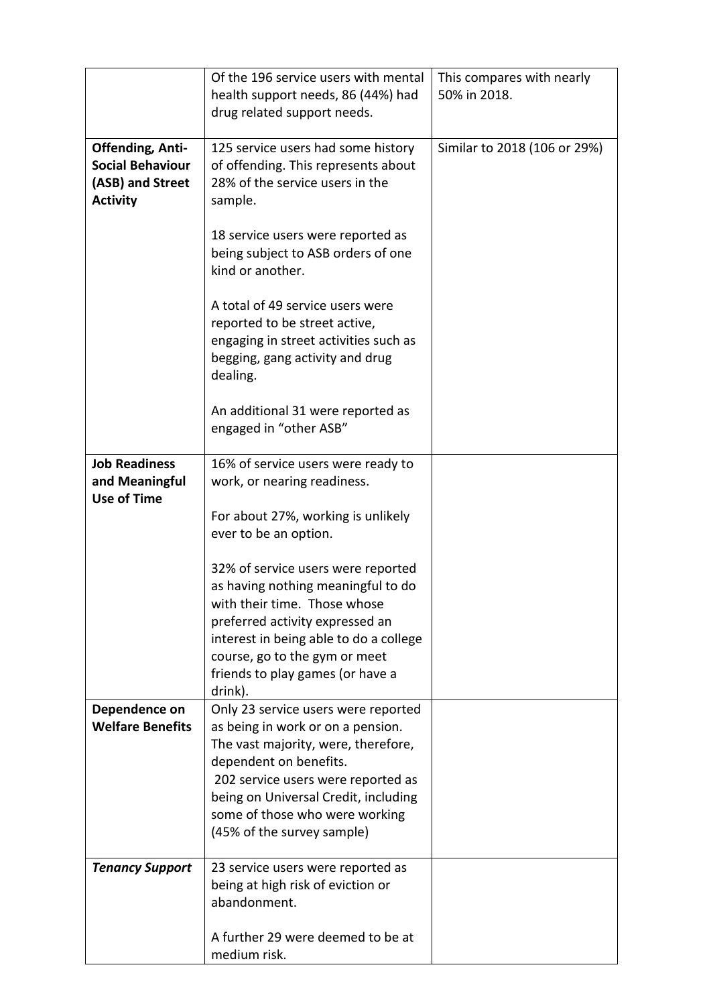|                                                                                           | Of the 196 service users with mental                                                                                                                                                                                                                                                    | This compares with nearly    |
|-------------------------------------------------------------------------------------------|-----------------------------------------------------------------------------------------------------------------------------------------------------------------------------------------------------------------------------------------------------------------------------------------|------------------------------|
|                                                                                           | health support needs, 86 (44%) had<br>drug related support needs.                                                                                                                                                                                                                       | 50% in 2018.                 |
| <b>Offending, Anti-</b><br><b>Social Behaviour</b><br>(ASB) and Street<br><b>Activity</b> | 125 service users had some history<br>of offending. This represents about<br>28% of the service users in the<br>sample.                                                                                                                                                                 | Similar to 2018 (106 or 29%) |
|                                                                                           | 18 service users were reported as<br>being subject to ASB orders of one<br>kind or another.                                                                                                                                                                                             |                              |
|                                                                                           | A total of 49 service users were<br>reported to be street active,<br>engaging in street activities such as<br>begging, gang activity and drug<br>dealing.                                                                                                                               |                              |
|                                                                                           | An additional 31 were reported as<br>engaged in "other ASB"                                                                                                                                                                                                                             |                              |
| <b>Job Readiness</b><br>and Meaningful<br><b>Use of Time</b>                              | 16% of service users were ready to<br>work, or nearing readiness.                                                                                                                                                                                                                       |                              |
|                                                                                           | For about 27%, working is unlikely<br>ever to be an option.                                                                                                                                                                                                                             |                              |
|                                                                                           | 32% of service users were reported<br>as having nothing meaningful to do<br>with their time. Those whose<br>preferred activity expressed an<br>interest in being able to do a college<br>course, go to the gym or meet<br>friends to play games (or have a<br>drink).                   |                              |
| Dependence on<br><b>Welfare Benefits</b>                                                  | Only 23 service users were reported<br>as being in work or on a pension.<br>The vast majority, were, therefore,<br>dependent on benefits.<br>202 service users were reported as<br>being on Universal Credit, including<br>some of those who were working<br>(45% of the survey sample) |                              |
| <b>Tenancy Support</b>                                                                    | 23 service users were reported as                                                                                                                                                                                                                                                       |                              |
|                                                                                           | being at high risk of eviction or<br>abandonment.                                                                                                                                                                                                                                       |                              |
|                                                                                           | A further 29 were deemed to be at<br>medium risk.                                                                                                                                                                                                                                       |                              |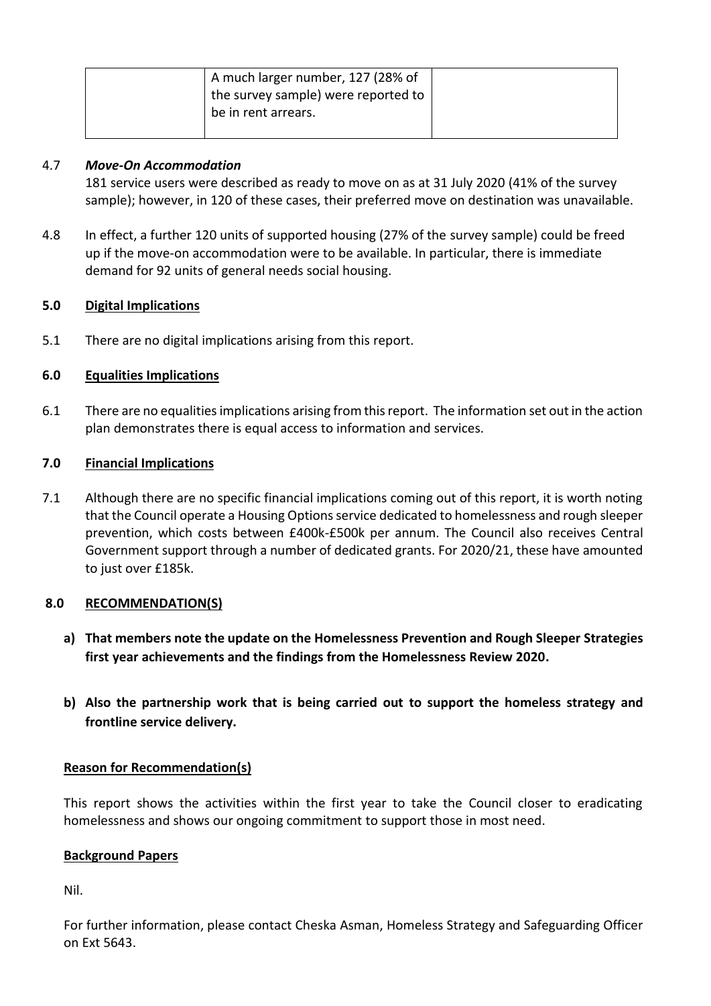| A much larger number, 127 (28% of<br>the survey sample) were reported to |
|--------------------------------------------------------------------------|
| be in rent arrears.                                                      |

## 4.7 *Move-On Accommodation*

181 service users were described as ready to move on as at 31 July 2020 (41% of the survey sample); however, in 120 of these cases, their preferred move on destination was unavailable.

4.8 In effect, a further 120 units of supported housing (27% of the survey sample) could be freed up if the move-on accommodation were to be available. In particular, there is immediate demand for 92 units of general needs social housing.

## **5.0 Digital Implications**

5.1 There are no digital implications arising from this report.

## **6.0 Equalities Implications**

6.1 There are no equalities implications arising from this report. The information set out in the action plan demonstrates there is equal access to information and services.

#### **7.0 Financial Implications**

7.1 Although there are no specific financial implications coming out of this report, it is worth noting that the Council operate a Housing Options service dedicated to homelessness and rough sleeper prevention, which costs between £400k-£500k per annum. The Council also receives Central Government support through a number of dedicated grants. For 2020/21, these have amounted to just over £185k.

#### **8.0 RECOMMENDATION(S)**

- **a) That members note the update on the Homelessness Prevention and Rough Sleeper Strategies first year achievements and the findings from the Homelessness Review 2020.**
- **b) Also the partnership work that is being carried out to support the homeless strategy and frontline service delivery.**

#### **Reason for Recommendation(s)**

This report shows the activities within the first year to take the Council closer to eradicating homelessness and shows our ongoing commitment to support those in most need.

#### **Background Papers**

Nil.

For further information, please contact Cheska Asman, Homeless Strategy and Safeguarding Officer on Ext 5643.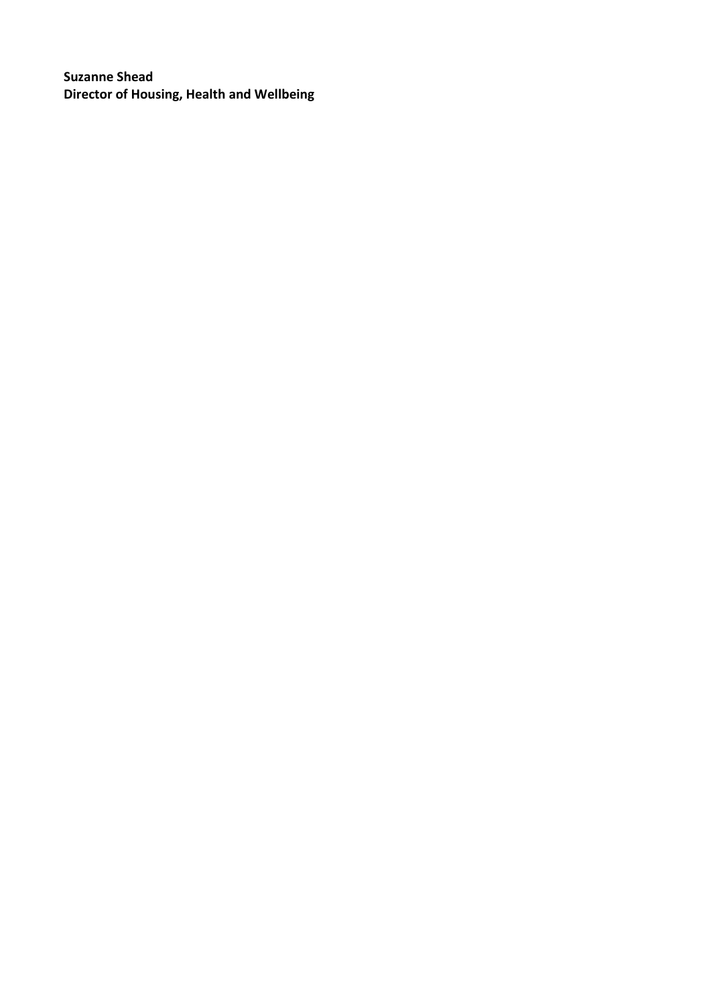**Suzanne Shead Director of Housing, Health and Wellbeing**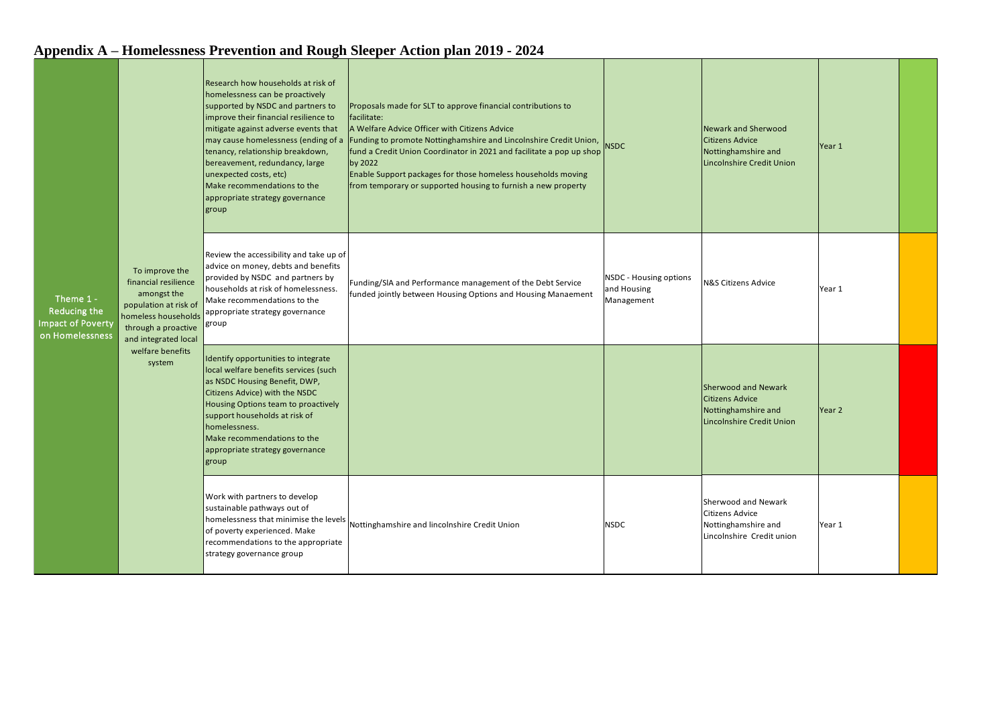|                                                                                                                                                                                                                  |                                            |                                                                                                                                                                                                                                                                                                                                                                                                               | $\mu$ ррения и «понкложно» і гетенной ана коади эксерег тесной райг 2017 «2024                                                                                                                                                                                                                                                                                                                                        |                                                            |                                                                                                          |        |  |
|------------------------------------------------------------------------------------------------------------------------------------------------------------------------------------------------------------------|--------------------------------------------|---------------------------------------------------------------------------------------------------------------------------------------------------------------------------------------------------------------------------------------------------------------------------------------------------------------------------------------------------------------------------------------------------------------|-----------------------------------------------------------------------------------------------------------------------------------------------------------------------------------------------------------------------------------------------------------------------------------------------------------------------------------------------------------------------------------------------------------------------|------------------------------------------------------------|----------------------------------------------------------------------------------------------------------|--------|--|
| To improve the<br>financial resilience<br>amongst the<br>Theme 1 -<br>population at risk of<br>Reducing the<br><b>Impact of Poverty</b><br>on Homelessness<br>and integrated local<br>welfare benefits<br>system |                                            | Research how households at risk of<br>homelessness can be proactively<br>supported by NSDC and partners to<br>improve their financial resilience to<br>mitigate against adverse events that<br>may cause homelessness (ending of a<br>tenancy, relationship breakdown,<br>bereavement, redundancy, large<br>unexpected costs, etc)<br>Make recommendations to the<br>appropriate strategy governance<br>group | Proposals made for SLT to approve financial contributions to<br>facilitate:<br>A Welfare Advice Officer with Citizens Advice<br>Funding to promote Nottinghamshire and Lincolnshire Credit Union,<br>fund a Credit Union Coordinator in 2021 and facilitate a pop up shop<br>by 2022<br>Enable Support packages for those homeless households moving<br>from temporary or supported housing to furnish a new property | <b>NSDC</b>                                                | Newark and Sherwood<br><b>Citizens Advice</b><br>Nottinghamshire and<br><b>Lincolnshire Credit Union</b> | Year 1 |  |
|                                                                                                                                                                                                                  | homeless households<br>through a proactive | Review the accessibility and take up of<br>advice on money, debts and benefits<br>provided by NSDC and partners by<br>households at risk of homelessness.<br>Make recommendations to the<br>appropriate strategy governance<br>group                                                                                                                                                                          | Funding/SIA and Performance management of the Debt Service<br>funded jointly between Housing Options and Housing Manaement                                                                                                                                                                                                                                                                                            | <b>NSDC - Housing options</b><br>and Housing<br>Management | N&S Citizens Advice                                                                                      | Year 1 |  |
|                                                                                                                                                                                                                  |                                            | Identify opportunities to integrate<br>local welfare benefits services (such<br>as NSDC Housing Benefit, DWP,<br>Citizens Advice) with the NSDC<br>Housing Options team to proactively<br>support households at risk of<br>homelessness.<br>Make recommendations to the<br>appropriate strategy governance<br>group                                                                                           |                                                                                                                                                                                                                                                                                                                                                                                                                       |                                                            | Sherwood and Newark<br><b>Citizens Advice</b><br>Nottinghamshire and<br><b>Lincolnshire Credit Union</b> | Year 2 |  |
|                                                                                                                                                                                                                  |                                            | Work with partners to develop<br>sustainable pathways out of<br>homelessness that minimise the levels<br>of poverty experienced. Make<br>recommendations to the appropriate<br>strategy governance group                                                                                                                                                                                                      | Nottinghamshire and lincolnshire Credit Union                                                                                                                                                                                                                                                                                                                                                                         | <b>NSDC</b>                                                | Sherwood and Newark<br>Citizens Advice<br>Nottinghamshire and<br>Lincolnshire Credit union               | Year 1 |  |

## **Appendix A – Homelessness Prevention and Rough Sleeper Action plan 2019 - 2024**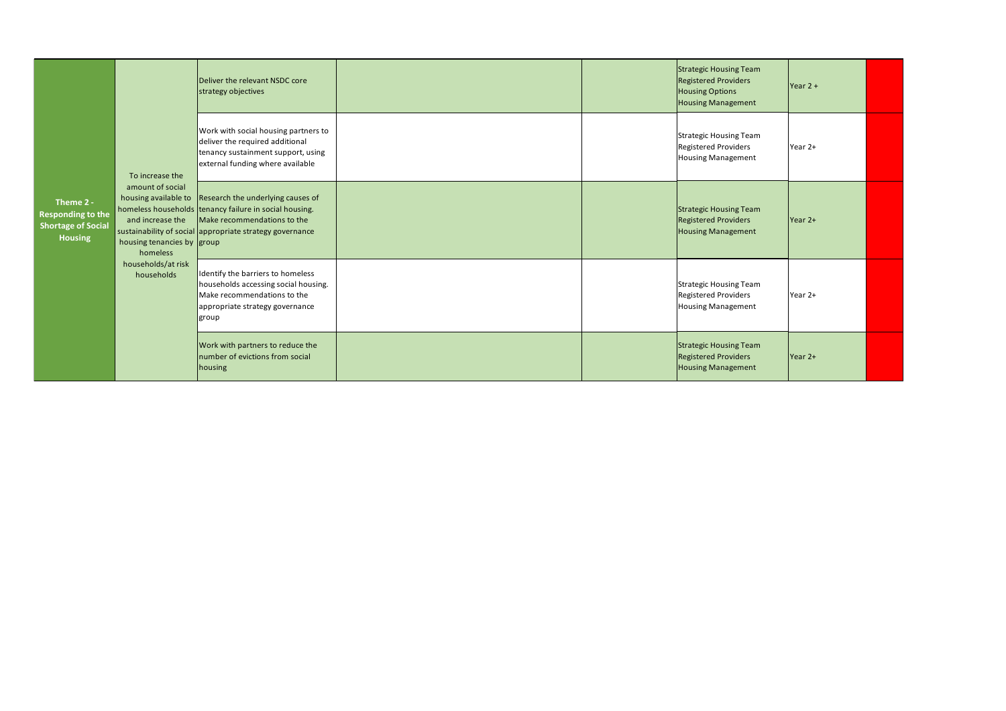| Theme 2 -<br><b>Responding to the</b><br><b>Shortage of Social</b><br><b>Housing</b> | To increase the<br>amount of social<br>housing available to<br>and increase the<br>housing tenancies by group<br>homeless<br>households/at risk<br>households | Deliver the relevant NSDC core<br>strategy objectives                                                                                                                                  |  | <b>Strategic Housing Team</b><br><b>Registered Providers</b><br><b>Housing Options</b><br><b>Housing Management</b> | $Year 2 +$ |  |
|--------------------------------------------------------------------------------------|---------------------------------------------------------------------------------------------------------------------------------------------------------------|----------------------------------------------------------------------------------------------------------------------------------------------------------------------------------------|--|---------------------------------------------------------------------------------------------------------------------|------------|--|
|                                                                                      |                                                                                                                                                               | Work with social housing partners to<br>deliver the required additional<br>tenancy sustainment support, using<br>external funding where available                                      |  | Strategic Housing Team<br>Registered Providers<br><b>Housing Management</b>                                         | Year 2+    |  |
|                                                                                      |                                                                                                                                                               | Research the underlying causes of<br>homeless households tenancy failure in social housing.<br>Make recommendations to the<br>sustainability of social appropriate strategy governance |  | <b>Strategic Housing Team</b><br><b>Registered Providers</b><br><b>Housing Management</b>                           | $Year 2+$  |  |
|                                                                                      |                                                                                                                                                               | Identify the barriers to homeless<br>households accessing social housing.<br>Make recommendations to the<br>appropriate strategy governance<br>group                                   |  | Strategic Housing Team<br>Registered Providers<br><b>Housing Management</b>                                         | Year 2+    |  |
|                                                                                      |                                                                                                                                                               | Work with partners to reduce the<br>number of evictions from social<br>housing                                                                                                         |  | <b>Strategic Housing Team</b><br><b>Registered Providers</b><br><b>Housing Management</b>                           | $Year 2+$  |  |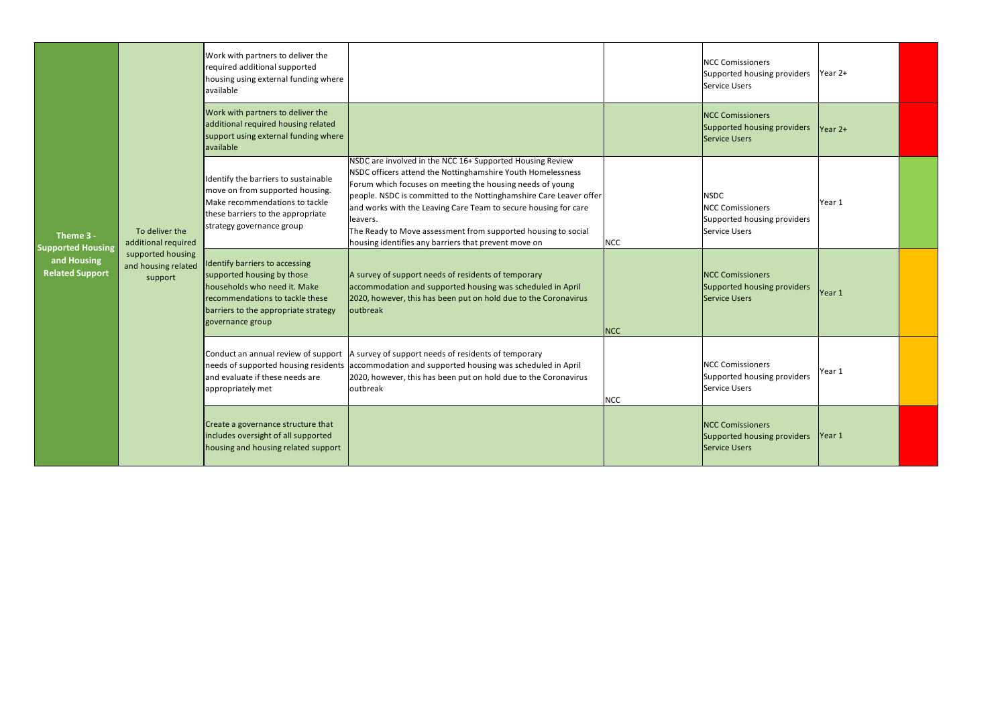| Theme 3 -<br><b>Supported Housing</b><br>and Housing<br><b>Related Support</b> |                                                     | Work with partners to deliver the<br>required additional supported<br>housing using external funding where<br>available                                                                     |                                                                                                                                                                                                                                                                                                                                                                                                                                                                     |            | <b>NCC Comissioners</b><br>Supported housing providers<br>Service Users                | Year 2+   |  |
|--------------------------------------------------------------------------------|-----------------------------------------------------|---------------------------------------------------------------------------------------------------------------------------------------------------------------------------------------------|---------------------------------------------------------------------------------------------------------------------------------------------------------------------------------------------------------------------------------------------------------------------------------------------------------------------------------------------------------------------------------------------------------------------------------------------------------------------|------------|----------------------------------------------------------------------------------------|-----------|--|
|                                                                                |                                                     | Work with partners to deliver the<br>additional required housing related<br>support using external funding where<br>available                                                               |                                                                                                                                                                                                                                                                                                                                                                                                                                                                     |            | <b>NCC Comissioners</b><br>Supported housing providers<br>Service Users                | $Year 2+$ |  |
|                                                                                | To deliver the<br>additional required               | Identify the barriers to sustainable<br>move on from supported housing.<br>Make recommendations to tackle<br>these barriers to the appropriate<br>strategy governance group                 | NSDC are involved in the NCC 16+ Supported Housing Review<br>NSDC officers attend the Nottinghamshire Youth Homelessness<br>Forum which focuses on meeting the housing needs of young<br>people. NSDC is committed to the Nottinghamshire Care Leaver offer<br>and works with the Leaving Care Team to secure housing for care<br>leavers.<br>The Ready to Move assessment from supported housing to social<br>housing identifies any barriers that prevent move on | <b>NCC</b> | <b>NSDC</b><br><b>NCC Comissioners</b><br>Supported housing providers<br>Service Users | Year 1    |  |
|                                                                                | supported housing<br>and housing related<br>support | Identify barriers to accessing<br>supported housing by those<br>households who need it. Make<br>recommendations to tackle these<br>barriers to the appropriate strategy<br>governance group | A survey of support needs of residents of temporary<br>accommodation and supported housing was scheduled in April<br>2020, however, this has been put on hold due to the Coronavirus<br>loutbreak                                                                                                                                                                                                                                                                   | <b>NCC</b> | <b>NCC Comissioners</b><br>Supported housing providers<br>Service Users                | lYear 1   |  |
|                                                                                |                                                     | and evaluate if these needs are<br>appropriately met                                                                                                                                        | Conduct an annual review of support   A survey of support needs of residents of temporary<br>needs of supported housing residents accommodation and supported housing was scheduled in April<br>2020, however, this has been put on hold due to the Coronavirus<br>loutbreak                                                                                                                                                                                        | <b>NCC</b> | <b>NCC Comissioners</b><br>Supported housing providers<br>Service Users                | Year 1    |  |
|                                                                                |                                                     | Create a governance structure that<br>includes oversight of all supported<br>housing and housing related support                                                                            |                                                                                                                                                                                                                                                                                                                                                                                                                                                                     |            | <b>NCC Comissioners</b><br>Supported housing providers<br>Service Users                | lYear 1   |  |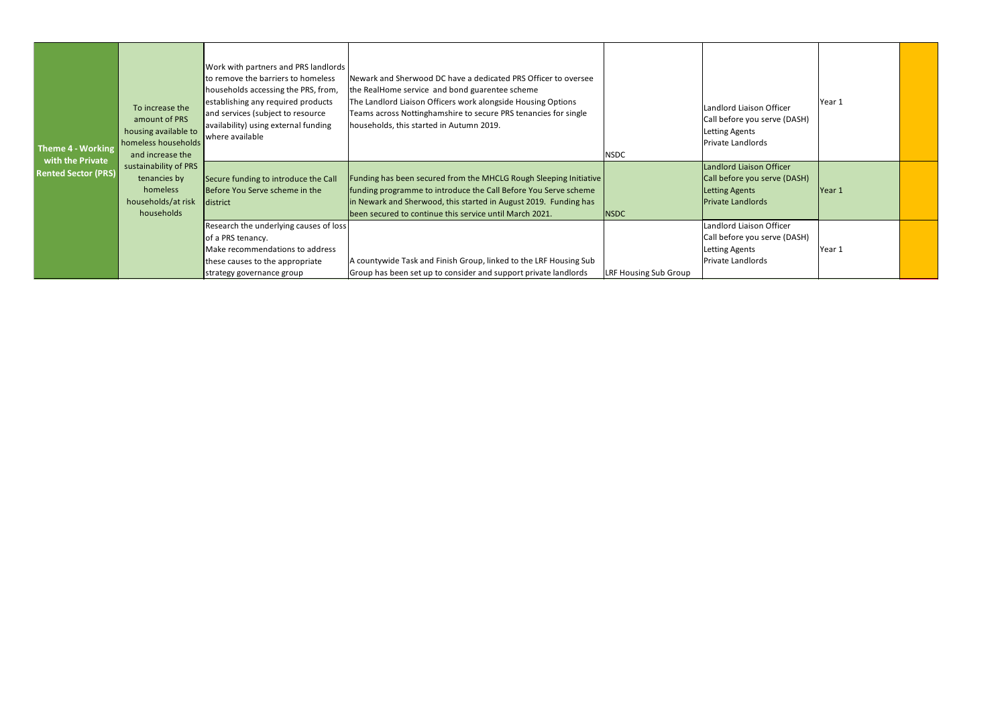| Theme 4 - Working                              | To increase the<br>amount of PRS<br>housing available to<br>homeless households<br>and increase the | Work with partners and PRS landlords<br>to remove the barriers to homeless<br>households accessing the PRS, from,<br>establishing any required products<br>and services (subject to resource<br>availability) using external funding<br>where available | Newark and Sherwood DC have a dedicated PRS Officer to oversee<br>he RealHome service and bond guarentee scheme<br>The Landlord Liaison Officers work alongside Housing Options<br>Teams across Nottinghamshire to secure PRS tenancies for single<br>households, this started in Autumn 2019. | <b>NSDC</b>                  | Landlord Liaison Officer<br>Call before you serve (DASH)<br><b>Letting Agents</b><br>Private Landlords        | Year 1 |  |
|------------------------------------------------|-----------------------------------------------------------------------------------------------------|---------------------------------------------------------------------------------------------------------------------------------------------------------------------------------------------------------------------------------------------------------|------------------------------------------------------------------------------------------------------------------------------------------------------------------------------------------------------------------------------------------------------------------------------------------------|------------------------------|---------------------------------------------------------------------------------------------------------------|--------|--|
| with the Private<br><b>Rented Sector (PRS)</b> | sustainability of PRS<br>tenancies by<br>homeless<br>households/at risk<br>households               | Secure funding to introduce the Call<br>Before You Serve scheme in the<br>district                                                                                                                                                                      | Funding has been secured from the MHCLG Rough Sleeping Initiative<br>funding programme to introduce the Call Before You Serve scheme<br>in Newark and Sherwood, this started in August 2019. Funding has<br>been secured to continue this service until March 2021.                            | <b>NSDC</b>                  | Landlord Liaison Officer<br>Call before you serve (DASH)<br><b>Letting Agents</b><br><b>Private Landlords</b> | Year 1 |  |
|                                                |                                                                                                     | Research the underlying causes of loss<br>of a PRS tenancy.<br>Make recommendations to address<br>these causes to the appropriate<br>strategy governance group                                                                                          | A countywide Task and Finish Group, linked to the LRF Housing Sub<br>Group has been set up to consider and support private landlords                                                                                                                                                           | <b>LRF Housing Sub Group</b> | Landlord Liaison Officer<br>Call before you serve (DASH)<br>Letting Agents<br>Private Landlords               | Year 1 |  |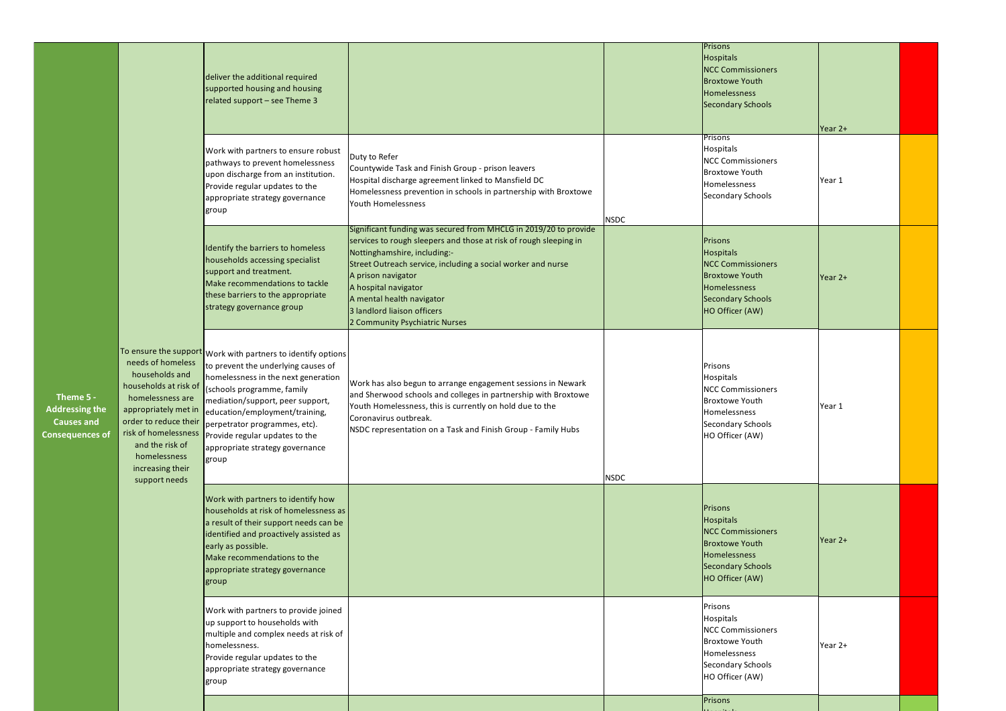| Theme 5 -<br><b>Addressing the</b><br>Causes and<br><b>Consequences of</b> |                                                                                                                                                                                                                                   | deliver the additional required<br>supported housing and housing<br>related support - see Theme 3                                                                                                                                                                                                                                                             |                                                                                                                                                                                                                                                                                                                                                                                   |             | Prisons<br><b>Hospitals</b><br><b>NCC Commissioners</b><br><b>Broxtowe Youth</b><br>Homelessness<br>Secondary Schools<br>Prisons  | Year 2+ |  |
|----------------------------------------------------------------------------|-----------------------------------------------------------------------------------------------------------------------------------------------------------------------------------------------------------------------------------|---------------------------------------------------------------------------------------------------------------------------------------------------------------------------------------------------------------------------------------------------------------------------------------------------------------------------------------------------------------|-----------------------------------------------------------------------------------------------------------------------------------------------------------------------------------------------------------------------------------------------------------------------------------------------------------------------------------------------------------------------------------|-------------|-----------------------------------------------------------------------------------------------------------------------------------|---------|--|
|                                                                            |                                                                                                                                                                                                                                   | Work with partners to ensure robust<br>pathways to prevent homelessness<br>upon discharge from an institution.<br>Provide regular updates to the<br>appropriate strategy governance<br>group                                                                                                                                                                  | Duty to Refer<br>Countywide Task and Finish Group - prison leavers<br>Hospital discharge agreement linked to Mansfield DC<br>Homelessness prevention in schools in partnership with Broxtowe<br>Youth Homelessness                                                                                                                                                                | <b>NSDC</b> | Hospitals<br><b>NCC Commissioners</b><br><b>Broxtowe Youth</b><br>Homelessness<br>Secondary Schools                               | Year 1  |  |
|                                                                            |                                                                                                                                                                                                                                   | Identify the barriers to homeless<br>households accessing specialist<br>support and treatment.<br>Make recommendations to tackle<br>these barriers to the appropriate<br>strategy governance group                                                                                                                                                            | Significant funding was secured from MHCLG in 2019/20 to provide<br>services to rough sleepers and those at risk of rough sleeping in<br>Nottinghamshire, including:-<br>Street Outreach service, including a social worker and nurse<br>A prison navigator<br>A hospital navigator<br>A mental health navigator<br>3 landlord liaison officers<br>2 Community Psychiatric Nurses |             | Prisons<br>Hospitals<br><b>NCC Commissioners</b><br><b>Broxtowe Youth</b><br>Homelessness<br>Secondary Schools<br>HO Officer (AW) | Year 2+ |  |
|                                                                            | needs of homeless<br>households and<br>households at risk of<br>homelessness are<br>appropriately met in<br>order to reduce their<br>risk of homelessness<br>and the risk of<br>homelessness<br>increasing their<br>support needs | To ensure the support Work with partners to identify options<br>to prevent the underlying causes of<br>homelessness in the next generation<br>(schools programme, family<br>mediation/support, peer support,<br>education/employment/training,<br>perpetrator programmes, etc).<br>Provide regular updates to the<br>appropriate strategy governance<br>group | Work has also begun to arrange engagement sessions in Newark<br>and Sherwood schools and colleges in partnership with Broxtowe<br>Youth Homelessness, this is currently on hold due to the<br>Coronavirus outbreak.<br>NSDC representation on a Task and Finish Group - Family Hubs                                                                                               | <b>NSDC</b> | Prisons<br>Hospitals<br><b>NCC Commissioners</b><br><b>Broxtowe Youth</b><br>Homelessness<br>Secondary Schools<br>HO Officer (AW) | Year 1  |  |
|                                                                            |                                                                                                                                                                                                                                   | Work with partners to identify how<br>households at risk of homelessness as<br>a result of their support needs can be<br>identified and proactively assisted as<br>early as possible.<br>Make recommendations to the<br>appropriate strategy governance<br>group                                                                                              |                                                                                                                                                                                                                                                                                                                                                                                   |             | Prisons<br>Hospitals<br><b>NCC Commissioners</b><br><b>Broxtowe Youth</b><br>Homelessness<br>Secondary Schools<br>HO Officer (AW) | Year 2+ |  |
|                                                                            |                                                                                                                                                                                                                                   | Work with partners to provide joined<br>up support to households with<br>multiple and complex needs at risk of<br>homelessness.<br>Provide regular updates to the<br>appropriate strategy governance<br>group                                                                                                                                                 |                                                                                                                                                                                                                                                                                                                                                                                   |             | Prisons<br>Hospitals<br><b>NCC Commissioners</b><br><b>Broxtowe Youth</b><br>Homelessness<br>Secondary Schools<br>HO Officer (AW) | Year 2+ |  |
|                                                                            |                                                                                                                                                                                                                                   |                                                                                                                                                                                                                                                                                                                                                               |                                                                                                                                                                                                                                                                                                                                                                                   |             | Prisons                                                                                                                           |         |  |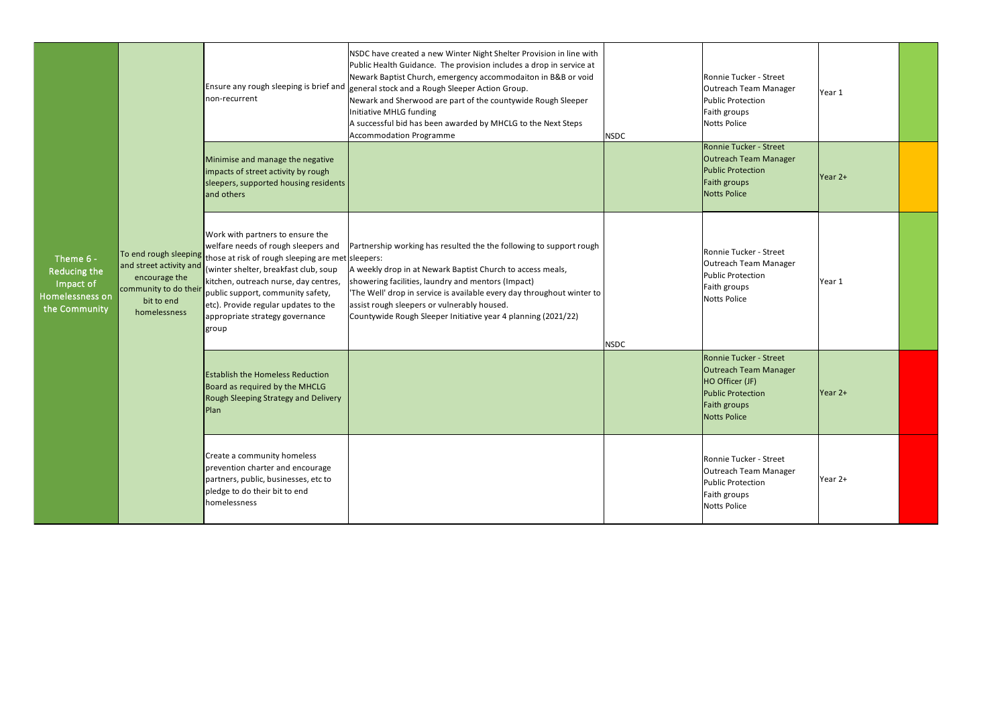| Theme 6 -<br>Reducing the<br>Impact of<br>Homelessness on<br>the Community | and street activity and<br>encourage the<br>community to do their<br>bit to end<br>homelessness | non-recurrent                                                                                                                                                                                                                                                                                                                                                 | NSDC have created a new Winter Night Shelter Provision in line with<br>Public Health Guidance. The provision includes a drop in service at<br>Newark Baptist Church, emergency accommodaiton in B&B or void<br>Ensure any rough sleeping is brief and general stock and a Rough Sleeper Action Group.<br>Newark and Sherwood are part of the countywide Rough Sleeper<br>Initiative MHLG funding<br>A successful bid has been awarded by MHCLG to the Next Steps<br>Accommodation Programme | <b>NSDC</b> | Ronnie Tucker - Street<br>Outreach Team Manager<br><b>Public Protection</b><br>Faith groups<br><b>Notts Police</b>                           | Year 1  |  |
|----------------------------------------------------------------------------|-------------------------------------------------------------------------------------------------|---------------------------------------------------------------------------------------------------------------------------------------------------------------------------------------------------------------------------------------------------------------------------------------------------------------------------------------------------------------|---------------------------------------------------------------------------------------------------------------------------------------------------------------------------------------------------------------------------------------------------------------------------------------------------------------------------------------------------------------------------------------------------------------------------------------------------------------------------------------------|-------------|----------------------------------------------------------------------------------------------------------------------------------------------|---------|--|
|                                                                            |                                                                                                 | Minimise and manage the negative<br>impacts of street activity by rough<br>sleepers, supported housing residents<br>and others                                                                                                                                                                                                                                |                                                                                                                                                                                                                                                                                                                                                                                                                                                                                             |             | Ronnie Tucker - Street<br><b>Outreach Team Manager</b><br>Public Protection<br>Faith groups<br><b>Notts Police</b>                           | Year 2+ |  |
|                                                                            |                                                                                                 | Work with partners to ensure the<br>welfare needs of rough sleepers and<br>To end rough sleeping those at risk of rough sleeping are met sleepers:<br>(winter shelter, breakfast club, soup<br>kitchen, outreach nurse, day centres,<br>public support, community safety,<br>etc). Provide regular updates to the<br>appropriate strategy governance<br>group | Partnership working has resulted the the following to support rough<br>A weekly drop in at Newark Baptist Church to access meals,<br>showering facilities, laundry and mentors (Impact)<br>'The Well' drop in service is available every day throughout winter to<br>assist rough sleepers or vulnerably housed.<br>Countywide Rough Sleeper Initiative year 4 planning (2021/22)                                                                                                           | <b>NSDC</b> | Ronnie Tucker - Street<br>Outreach Team Manager<br>Public Protection<br>Faith groups<br><b>Notts Police</b>                                  | Year 1  |  |
|                                                                            |                                                                                                 | <b>Establish the Homeless Reduction</b><br>Board as required by the MHCLG<br>Rough Sleeping Strategy and Delivery<br>Plan                                                                                                                                                                                                                                     |                                                                                                                                                                                                                                                                                                                                                                                                                                                                                             |             | Ronnie Tucker - Street<br><b>Outreach Team Manager</b><br>HO Officer (JF)<br><b>Public Protection</b><br>Faith groups<br><b>Notts Police</b> | Year 2+ |  |
|                                                                            |                                                                                                 | Create a community homeless<br>prevention charter and encourage<br>partners, public, businesses, etc to<br>pledge to do their bit to end<br>homelessness                                                                                                                                                                                                      |                                                                                                                                                                                                                                                                                                                                                                                                                                                                                             |             | Ronnie Tucker - Street<br>Outreach Team Manager<br>Public Protection<br>Faith groups<br><b>Notts Police</b>                                  | Year 2+ |  |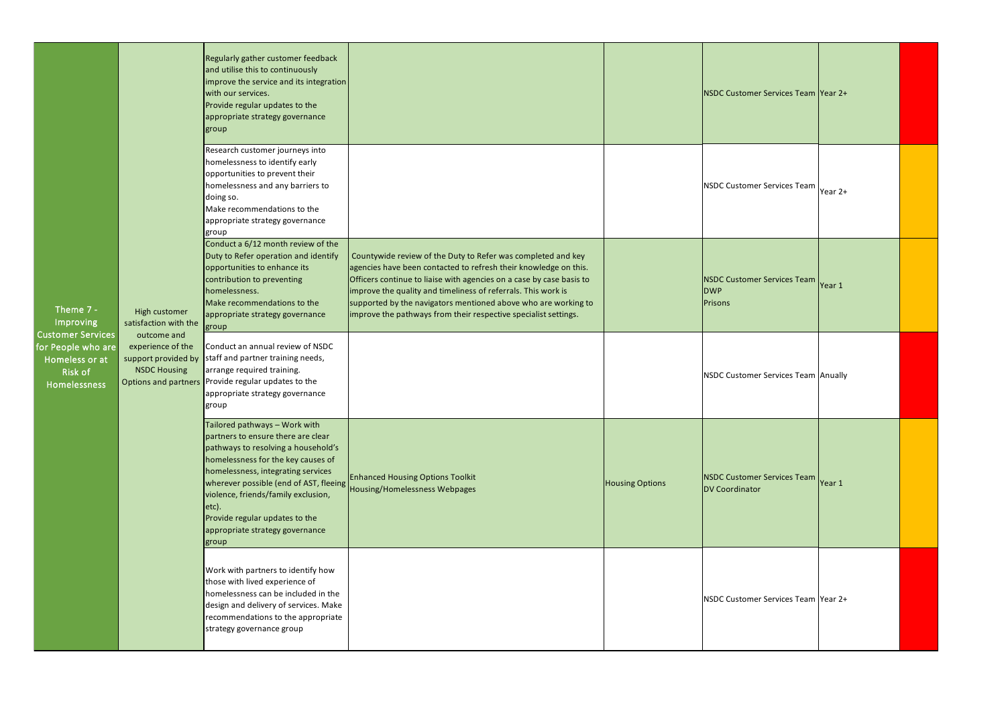| Theme $7 -$<br>Improving<br><b>Customer Services</b><br>for People who are<br>Homeless or at<br>Risk of<br><b>Homelessness</b> | High customer<br>satisfaction with the<br>outcome and<br>experience of the<br>support provided by<br><b>NSDC Housing</b> | Regularly gather customer feedback<br>and utilise this to continuously<br>improve the service and its integration<br>with our services.<br>Provide regular updates to the<br>appropriate strategy governance<br>group                                                                                                                                          |                                                                                                                                                                                                                                                                                                                                                                                                                |                        | NSDC Customer Services Team Year 2+                         |  |
|--------------------------------------------------------------------------------------------------------------------------------|--------------------------------------------------------------------------------------------------------------------------|----------------------------------------------------------------------------------------------------------------------------------------------------------------------------------------------------------------------------------------------------------------------------------------------------------------------------------------------------------------|----------------------------------------------------------------------------------------------------------------------------------------------------------------------------------------------------------------------------------------------------------------------------------------------------------------------------------------------------------------------------------------------------------------|------------------------|-------------------------------------------------------------|--|
|                                                                                                                                |                                                                                                                          | Research customer journeys into<br>homelessness to identify early<br>opportunities to prevent their<br>homelessness and any barriers to<br>doing so.<br>Make recommendations to the<br>appropriate strategy governance<br>group                                                                                                                                |                                                                                                                                                                                                                                                                                                                                                                                                                |                        | NSDC Customer Services Team Year 2+                         |  |
|                                                                                                                                |                                                                                                                          | Conduct a 6/12 month review of the<br>Duty to Refer operation and identify<br>opportunities to enhance its<br>contribution to preventing<br>homelessness.<br>Make recommendations to the<br>appropriate strategy governance<br>group                                                                                                                           | Countywide review of the Duty to Refer was completed and key<br>agencies have been contacted to refresh their knowledge on this.<br>Officers continue to liaise with agencies on a case by case basis to<br>improve the quality and timeliness of referrals. This work is<br>supported by the navigators mentioned above who are working to<br>improve the pathways from their respective specialist settings. |                        | NSDC Customer Services Team Year 1<br><b>DWP</b><br>Prisons |  |
|                                                                                                                                |                                                                                                                          | Conduct an annual review of NSDC<br>staff and partner training needs,<br>arrange required training.<br>Options and partners Provide regular updates to the<br>appropriate strategy governance<br>group                                                                                                                                                         |                                                                                                                                                                                                                                                                                                                                                                                                                |                        | NSDC Customer Services Team Anually                         |  |
|                                                                                                                                |                                                                                                                          | Tailored pathways - Work with<br>partners to ensure there are clear<br>pathways to resolving a household's<br>homelessness for the key causes of<br>homelessness, integrating services<br>wherever possible (end of AST, fleeing<br>violence, friends/family exclusion,<br>etc).<br>Provide regular updates to the<br>appropriate strategy governance<br>group | <b>Enhanced Housing Options Toolkit</b><br>Housing/Homelessness Webpages                                                                                                                                                                                                                                                                                                                                       | <b>Housing Options</b> | NSDC Customer Services Team Year 1<br><b>DV Coordinator</b> |  |
|                                                                                                                                |                                                                                                                          | Work with partners to identify how<br>those with lived experience of<br>homelessness can be included in the<br>design and delivery of services. Make<br>recommendations to the appropriate<br>strategy governance group                                                                                                                                        |                                                                                                                                                                                                                                                                                                                                                                                                                |                        | NSDC Customer Services Team Year 2+                         |  |